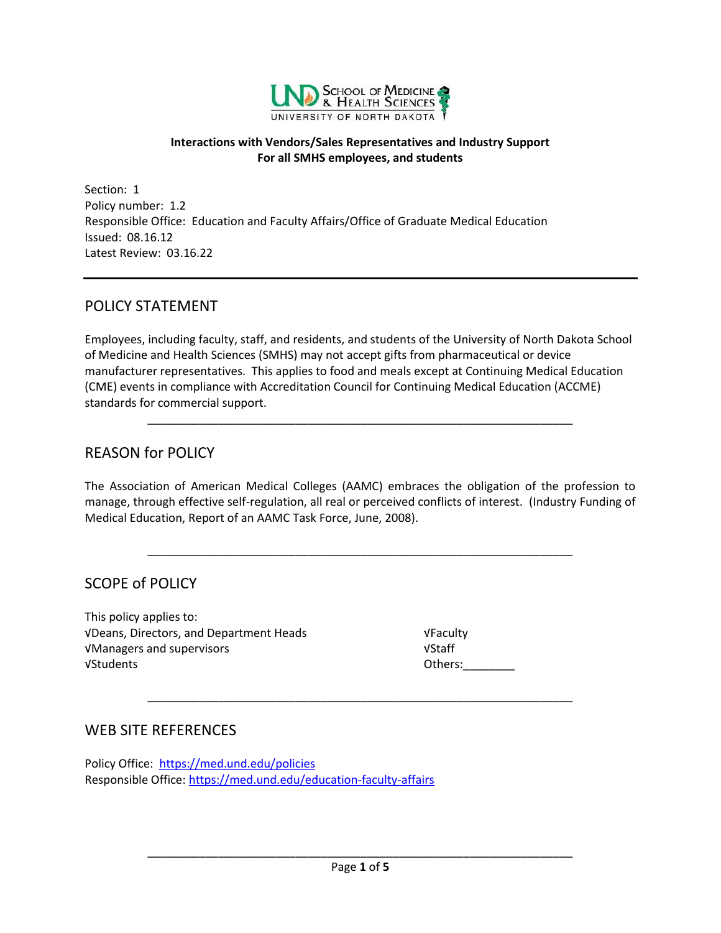

#### **Interactions with Vendors/Sales Representatives and Industry Support For all SMHS employees, and students**

Section: 1 Policy number: 1.2 Responsible Office: Education and Faculty Affairs/Office of Graduate Medical Education Issued: 08.16.12 Latest Review: 03.16.22

### POLICY STATEMENT

Employees, including faculty, staff, and residents, and students of the University of North Dakota School of Medicine and Health Sciences (SMHS) may not accept gifts from pharmaceutical or device manufacturer representatives. This applies to food and meals except at Continuing Medical Education (CME) events in compliance with Accreditation Council for Continuing Medical Education (ACCME) standards for commercial support.

\_\_\_\_\_\_\_\_\_\_\_\_\_\_\_\_\_\_\_\_\_\_\_\_\_\_\_\_\_\_\_\_\_\_\_\_\_\_\_\_\_\_\_\_\_\_\_\_\_\_\_\_\_\_\_\_\_\_\_\_\_\_\_\_\_\_

### REASON for POLICY

The Association of American Medical Colleges (AAMC) embraces the obligation of the profession to manage, through effective self-regulation, all real or perceived conflicts of interest. (Industry Funding of Medical Education, Report of an AAMC Task Force, June, 2008).

\_\_\_\_\_\_\_\_\_\_\_\_\_\_\_\_\_\_\_\_\_\_\_\_\_\_\_\_\_\_\_\_\_\_\_\_\_\_\_\_\_\_\_\_\_\_\_\_\_\_\_\_\_\_\_\_\_\_\_\_\_\_\_\_\_\_

\_\_\_\_\_\_\_\_\_\_\_\_\_\_\_\_\_\_\_\_\_\_\_\_\_\_\_\_\_\_\_\_\_\_\_\_\_\_\_\_\_\_\_\_\_\_\_\_\_\_\_\_\_\_\_\_\_\_\_\_\_\_\_\_\_\_

### SCOPE of POLICY

This policy applies to: √Deans, Directors, and Department Heads √Faculty √Managers and supervisors √Staff √Students Others:\_\_\_\_\_\_\_\_

### WEB SITE REFERENCES

Policy Office: <https://med.und.edu/policies> Responsible Office: [https://med.und.edu/education-faculty-affairs](https://med.und.edu/education-faculty-affairs/)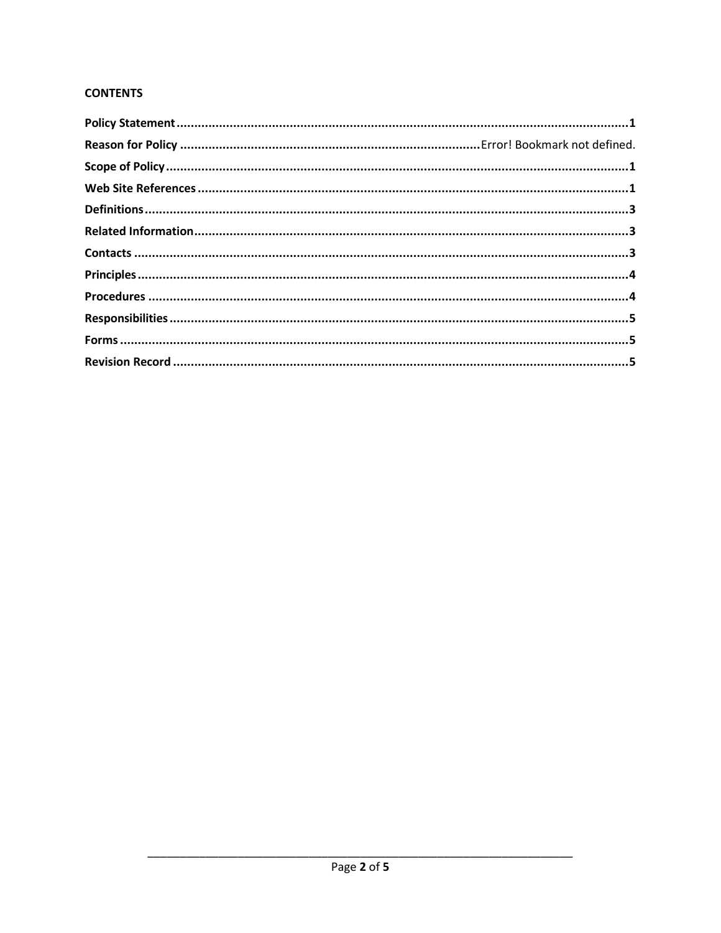#### **CONTENTS**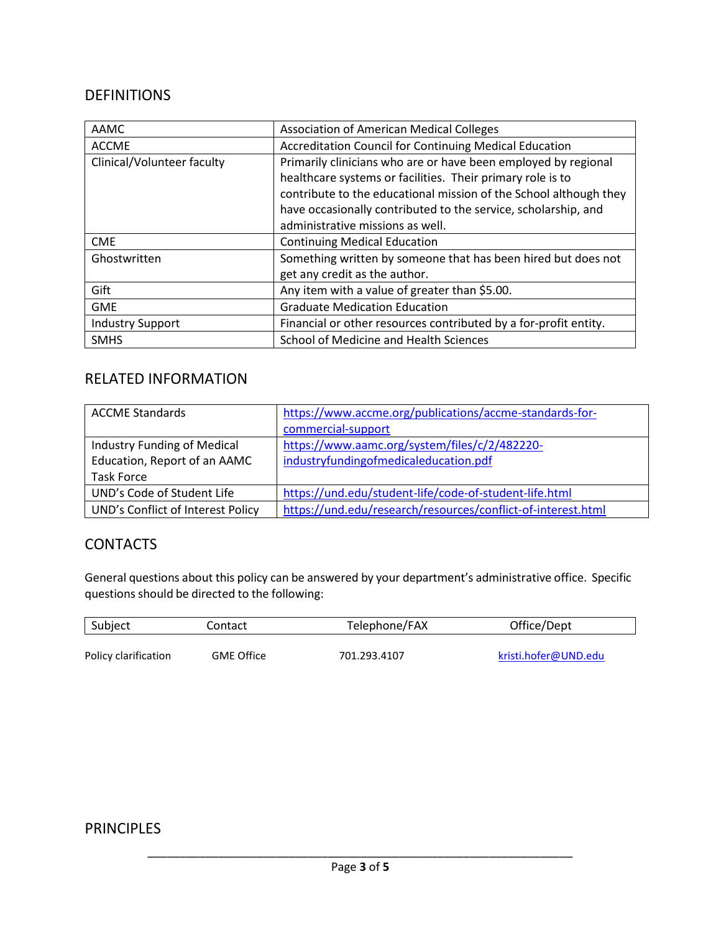### DEFINITIONS

| AAMC                       | <b>Association of American Medical Colleges</b>                   |
|----------------------------|-------------------------------------------------------------------|
| <b>ACCME</b>               | Accreditation Council for Continuing Medical Education            |
| Clinical/Volunteer faculty | Primarily clinicians who are or have been employed by regional    |
|                            | healthcare systems or facilities. Their primary role is to        |
|                            | contribute to the educational mission of the School although they |
|                            | have occasionally contributed to the service, scholarship, and    |
|                            | administrative missions as well.                                  |
| <b>CME</b>                 | <b>Continuing Medical Education</b>                               |
| Ghostwritten               | Something written by someone that has been hired but does not     |
|                            | get any credit as the author.                                     |
| Gift                       | Any item with a value of greater than \$5.00.                     |
| <b>GME</b>                 | <b>Graduate Medication Education</b>                              |
| <b>Industry Support</b>    | Financial or other resources contributed by a for-profit entity.  |
| <b>SMHS</b>                | School of Medicine and Health Sciences                            |

# RELATED INFORMATION

| <b>ACCME Standards</b>            | https://www.accme.org/publications/accme-standards-for-      |
|-----------------------------------|--------------------------------------------------------------|
|                                   | commercial-support                                           |
| Industry Funding of Medical       | https://www.aamc.org/system/files/c/2/482220-                |
| Education, Report of an AAMC      | industryfundingofmedicaleducation.pdf                        |
| <b>Task Force</b>                 |                                                              |
| UND's Code of Student Life        | https://und.edu/student-life/code-of-student-life.html       |
| UND's Conflict of Interest Policy | https://und.edu/research/resources/conflict-of-interest.html |

### **CONTACTS**

General questions about this policy can be answered by your department's administrative office. Specific questions should be directed to the following:

| Subject              | Contact           | Telephone/FAX | Office/Dept          |
|----------------------|-------------------|---------------|----------------------|
| Policy clarification | <b>GME Office</b> | 701.293.4107  | kristi.hofer@UND.edu |

# PRINCIPLES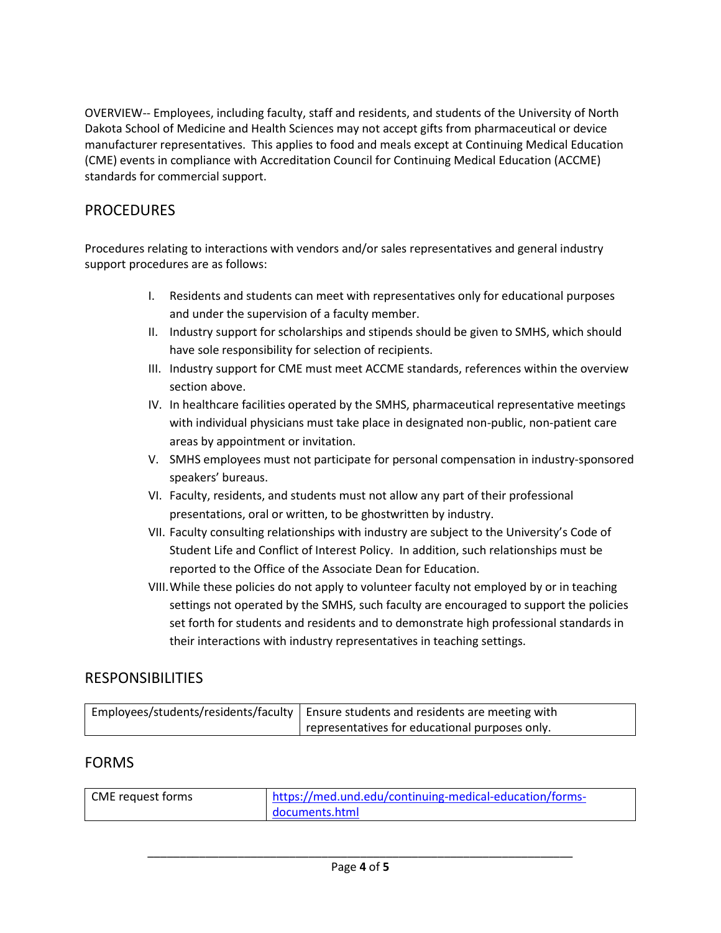OVERVIEW-- Employees, including faculty, staff and residents, and students of the University of North Dakota School of Medicine and Health Sciences may not accept gifts from pharmaceutical or device manufacturer representatives. This applies to food and meals except at Continuing Medical Education (CME) events in compliance with Accreditation Council for Continuing Medical Education (ACCME) standards for commercial support.

## PROCEDURES

Procedures relating to interactions with vendors and/or sales representatives and general industry support procedures are as follows:

- I. Residents and students can meet with representatives only for educational purposes and under the supervision of a faculty member.
- II. Industry support for scholarships and stipends should be given to SMHS, which should have sole responsibility for selection of recipients.
- III. Industry support for CME must meet ACCME standards, references within the overview section above.
- IV. In healthcare facilities operated by the SMHS, pharmaceutical representative meetings with individual physicians must take place in designated non-public, non-patient care areas by appointment or invitation.
- V. SMHS employees must not participate for personal compensation in industry-sponsored speakers' bureaus.
- VI. Faculty, residents, and students must not allow any part of their professional presentations, oral or written, to be ghostwritten by industry.
- VII. Faculty consulting relationships with industry are subject to the University's Code of Student Life and Conflict of Interest Policy. In addition, such relationships must be reported to the Office of the Associate Dean for Education.
- VIII.While these policies do not apply to volunteer faculty not employed by or in teaching settings not operated by the SMHS, such faculty are encouraged to support the policies set forth for students and residents and to demonstrate high professional standards in their interactions with industry representatives in teaching settings.

# RESPONSIBILITIES

| Employees/students/residents/faculty   Ensure students and residents are meeting with |
|---------------------------------------------------------------------------------------|
| representatives for educational purposes only.                                        |

### FORMS

| CME request forms | https://med.und.edu/continuing-medical-education/forms- |  |
|-------------------|---------------------------------------------------------|--|
|                   | documents.html                                          |  |